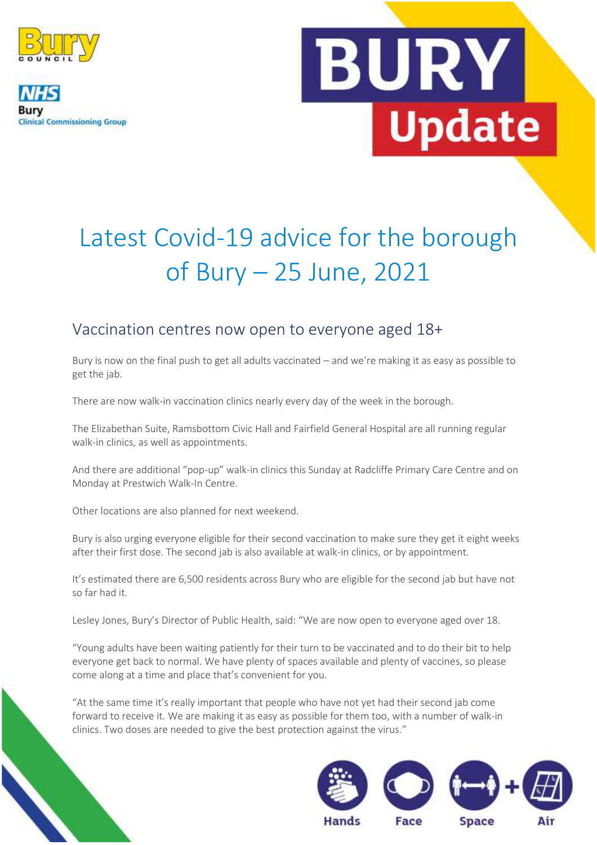

**Clinical Commissioning Group** 



# Latest Covid-19 advice for the borough of Bury – 25 June, 2021

### Vaccination centres now open to everyone aged 18+

Bury is now on the final push to get all adults vaccinated – and we're making it as easy as possible to get the jab.

There are now walk-in vaccination clinics nearly every day of the week in the borough.

The Elizabethan Suite, Ramsbottom Civic Hall and Fairfield General Hospital are all running regular walk-in clinics, as well as appointments.

And there are additional "pop-up" walk-in clinics this Sunday at Radcliffe Primary Care Centre and on Monday at Prestwich Walk-In Centre.

Other locations are also planned for next weekend.

Bury is also urging everyone eligible for their second vaccination to make sure they get it eight weeks after their first dose. The second jab is also available at walk-in clinics, or by appointment.

It's estimated there are 6,500 residents across Bury who are eligible for the second jab but have not so far had it.

Lesley Jones, Bury's Director of Public Health, said: "We are now open to everyone aged over 18.

"Young adults have been waiting patiently for their turn to be vaccinated and to do their bit to help everyone get back to normal. We have plenty of spaces available and plenty of vaccines, so please come along at a time and place that's convenient for you.

"At the same time it's really important that people who have not yet had their second jab come forward to receive it. We are making it as easy as possible for them too, with a number of walk-in clinics. Two doses are needed to give the best protection against the virus."

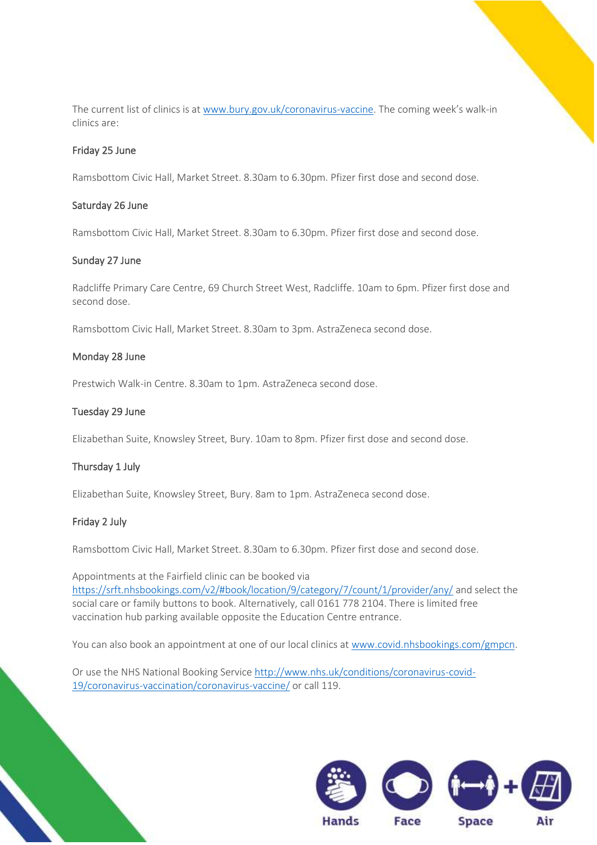The current list of clinics is at [www.bury.gov.uk/coronavirus-vaccine.](http://www.bury.gov.uk/coronavirus-vaccine) The coming week's walk-in clinics are:

### Friday 25 June

Ramsbottom Civic Hall, Market Street. 8.30am to 6.30pm. Pfizer first dose and second dose.

### Saturday 26 June

Ramsbottom Civic Hall, Market Street. 8.30am to 6.30pm. Pfizer first dose and second dose.

#### Sunday 27 June

Radcliffe Primary Care Centre, 69 Church Street West, Radcliffe. 10am to 6pm. Pfizer first dose and second dose.

Ramsbottom Civic Hall, Market Street. 8.30am to 3pm. AstraZeneca second dose.

#### Monday 28 June

Prestwich Walk-in Centre. 8.30am to 1pm. AstraZeneca second dose.

### Tuesday 29 June

Elizabethan Suite, Knowsley Street, Bury. 10am to 8pm. Pfizer first dose and second dose.

### Thursday 1 July

Elizabethan Suite, Knowsley Street, Bury. 8am to 1pm. AstraZeneca second dose.

### Friday 2 July

Ramsbottom Civic Hall, Market Street. 8.30am to 6.30pm. Pfizer first dose and second dose.

Appointments at the Fairfield clinic can be booked via <https://srft.nhsbookings.com/v2/#book/location/9/category/7/count/1/provider/any/> and select the social care or family buttons to book. Alternatively, call 0161 778 2104. There is limited free vaccination hub parking available opposite the Education Centre entrance.

You can also book an appointment at one of our local clinics at [www.covid.nhsbookings.com/gmpcn.](http://www.covid.nhsbookings.com/gmpcn)

Or use the NHS National Booking Service [http://www.nhs.uk/conditions/coronavirus-covid-](http://www.nhs.uk/conditions/coronavirus-covid-19/coronavirus-vaccination/coronavirus-vaccine/)[19/coronavirus-vaccination/coronavirus-vaccine/](http://www.nhs.uk/conditions/coronavirus-covid-19/coronavirus-vaccination/coronavirus-vaccine/) or call 119.

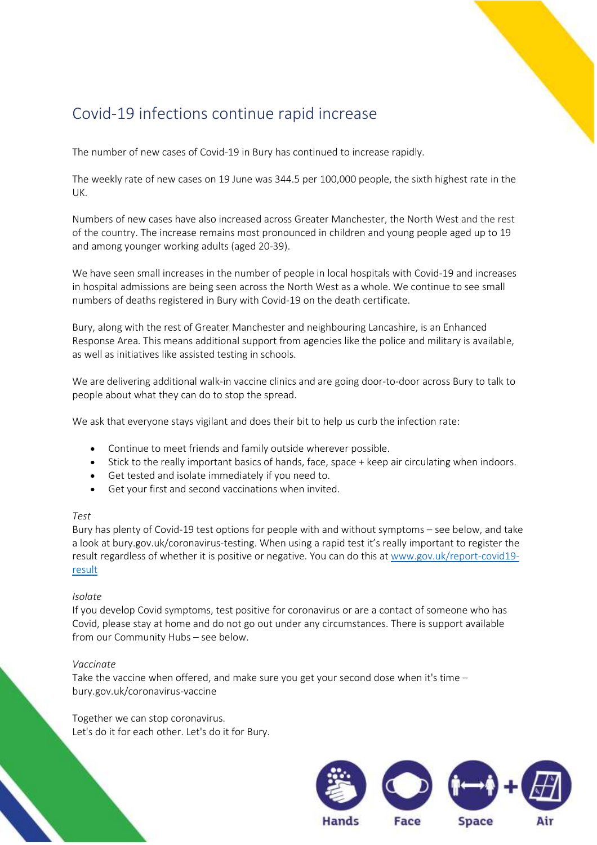### Covid-19 infections continue rapid increase

The number of new cases of Covid-19 in Bury has continued to increase rapidly.

The weekly rate of new cases on 19 June was 344.5 per 100,000 people, the sixth highest rate in the UK.

Numbers of new cases have also increased across Greater Manchester, the North West and the rest of the country. The increase remains most pronounced in children and young people aged up to 19 and among younger working adults (aged 20-39).

We have seen small increases in the number of people in local hospitals with Covid-19 and increases in hospital admissions are being seen across the North West as a whole. We continue to see small numbers of deaths registered in Bury with Covid-19 on the death certificate.

Bury, along with the rest of Greater Manchester and neighbouring Lancashire, is an Enhanced Response Area. This means additional support from agencies like the police and military is available, as well as initiatives like assisted testing in schools.

We are delivering additional walk-in vaccine clinics and are going door-to-door across Bury to talk to people about what they can do to stop the spread.

We ask that everyone stays vigilant and does their bit to help us curb the infection rate:

- Continue to meet friends and family outside wherever possible.
- Stick to the really important basics of hands, face, space + keep air circulating when indoors.
- Get tested and isolate immediately if you need to.
- Get your first and second vaccinations when invited.

#### *Test*

Bury has plenty of Covid-19 test options for people with and without symptoms – see below, and take a look at bury.gov.uk/coronavirus-testing. When using a rapid test it's really important to register the result regardless of whether it is positive or negative. You can do this at [www.gov.uk/report-covid19](http://www.gov.uk/report-covid19-result) [result](http://www.gov.uk/report-covid19-result)

#### *Isolate*

If you develop Covid symptoms, test positive for coronavirus or are a contact of someone who has Covid, please stay at home and do not go out under any circumstances. There is support available from our Community Hubs – see below.

#### *Vaccinate*

Take the vaccine when offered, and make sure you get your second dose when it's time – bury.gov.uk/coronavirus-vaccine

Together we can stop coronavirus. Let's do it for each other. Let's do it for Bury.

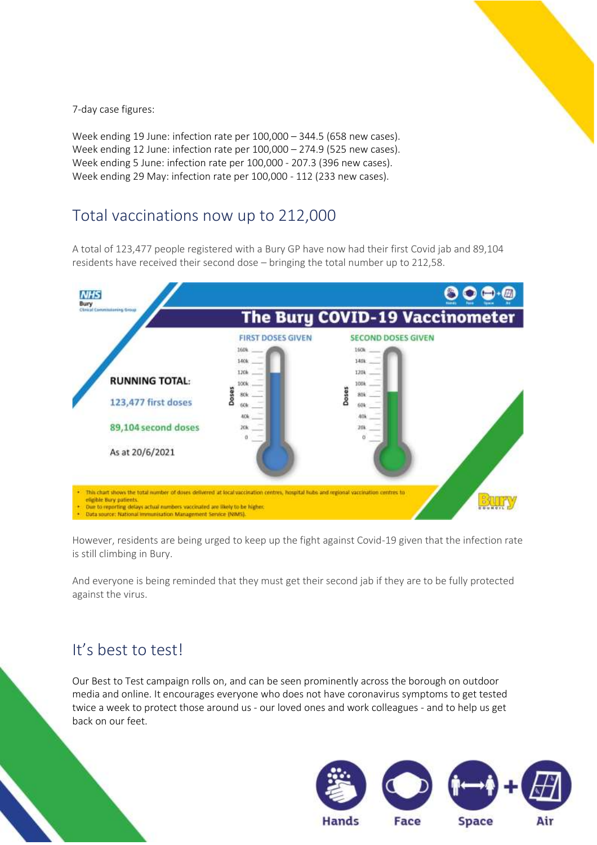

7-day case figures:

Week ending 19 June: infection rate per 100,000 – 344.5 (658 new cases). Week ending 12 June: infection rate per 100,000 – 274.9 (525 new cases). Week ending 5 June: infection rate per 100,000 - 207.3 (396 new cases). Week ending 29 May: infection rate per 100,000 - 112 (233 new cases).

### Total vaccinations now up to 212,000

A total of 123,477 people registered with a Bury GP have now had their first Covid jab and 89,104 residents have received their second dose – bringing the total number up to 212,58.



However, residents are being urged to keep up the fight against Covid-19 given that the infection rate is still climbing in Bury.

And everyone is being reminded that they must get their second jab if they are to be fully protected against the virus.

### It's best to test!

Our Best to Test campaign rolls on, and can be seen prominently across the borough on outdoor media and online. It encourages everyone who does not have coronavirus symptoms to get tested twice a week to protect those around us - our loved ones and work colleagues - and to help us get back on our feet.

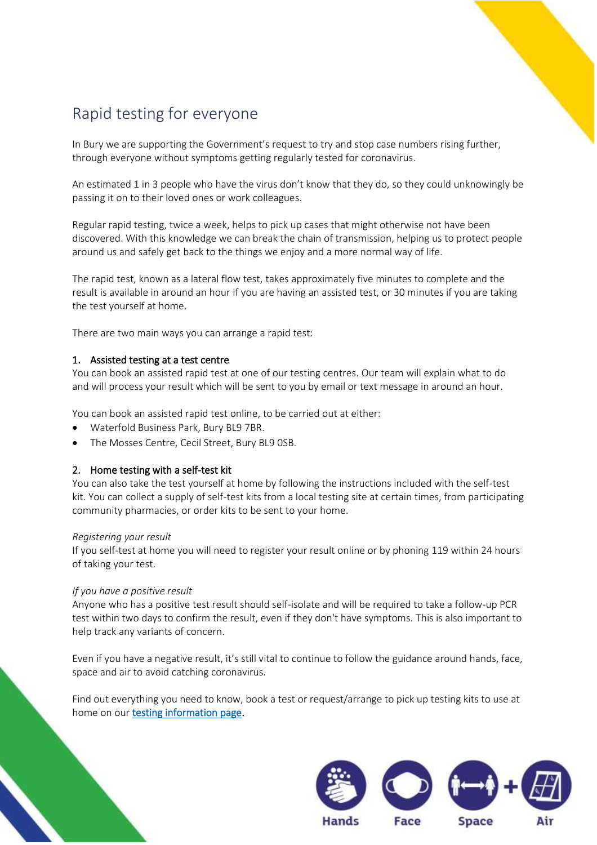### Rapid testing for everyone

In Bury we are supporting the Government's request to try and stop case numbers rising further, through everyone without symptoms getting regularly tested for coronavirus.

An estimated 1 in 3 people who have the virus don't know that they do, so they could unknowingly be passing it on to their loved ones or work colleagues.

Regular rapid testing, twice a week, helps to pick up cases that might otherwise not have been discovered. With this knowledge we can break the chain of transmission, helping us to protect people around us and safely get back to the things we enjoy and a more normal way of life.

The rapid test, known as a lateral flow test, takes approximately five minutes to complete and the result is available in around an hour if you are having an assisted test, or 30 minutes if you are taking the test yourself at home.

There are two main ways you can arrange a rapid test:

### 1. Assisted testing at a test centre

You can book an assisted rapid test at one of our testing centres. Our team will explain what to do and will process your result which will be sent to you by email or text message in around an hour.

You can book an assisted rapid test online, to be carried out at either:

- Waterfold Business Park, Bury BL9 7BR.
- The Mosses Centre, Cecil Street, Bury BL9 0SB.

### 2. Home testing with a self-test kit

You can also take the test yourself at home by following the instructions included with the self-test kit. You can collect a supply of self-test kits from a local testing site at certain times, from participating community pharmacies, or order kits to be sent to your home.

### *Registering your result*

If you self-test at home you will need to register your result online or by phoning 119 within 24 hours of taking your test.

### *If you have a positive result*

Anyone who has a positive test result should self-isolate and will be required to take a follow-up PCR test within two days to confirm the result, even if they don't have symptoms. This is also important to help track any variants of concern.

Even if you have a negative result, it's still vital to continue to follow the guidance around hands, face, space and air to avoid catching coronavirus.

Find out everything you need to know, book a test or request/arrange to pick up testing kits to use at home on our [testing information page.](https://www.bury.gov.uk/index.aspx?articleid=16065)

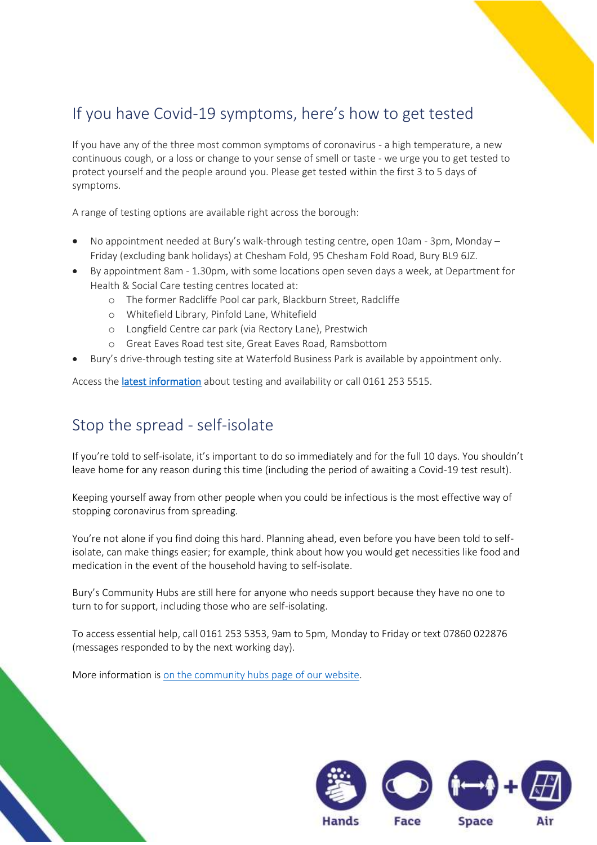### If you have Covid-19 symptoms, here's how to get tested

If you have any of the three most common symptoms of coronavirus - a high temperature, a new continuous cough, or a loss or change to your sense of smell or taste - we urge you to get tested to protect yourself and the people around you. Please get tested within the first 3 to 5 days of symptoms.

A range of testing options are available right across the borough:

- No appointment needed at Bury's walk-through testing centre, open 10am 3pm, Monday Friday (excluding bank holidays) at Chesham Fold, 95 Chesham Fold Road, Bury BL9 6JZ.
- By appointment 8am 1.30pm, with some locations open seven days a week, at Department for Health & Social Care testing centres located at:
	- o The former Radcliffe Pool car park, Blackburn Street, Radcliffe
	- o Whitefield Library, Pinfold Lane, Whitefield
	- o Longfield Centre car park (via Rectory Lane), Prestwich
	- o Great Eaves Road test site, Great Eaves Road, Ramsbottom
- Bury's drive-through testing site at Waterfold Business Park is available by appointment only.

Access the *latest information* about testing and availability or call 0161 253 5515.

### Stop the spread - self-isolate

If you're told to self-isolate, it's important to do so immediately and for the full 10 days. You shouldn't leave home for any reason during this time (including the period of awaiting a Covid-19 test result).

Keeping yourself away from other people when you could be infectious is the most effective way of stopping coronavirus from spreading.

You're not alone if you find doing this hard. Planning ahead, even before you have been told to selfisolate, can make things easier; for example, think about how you would get necessities like food and medication in the event of the household having to self-isolate.

Bury's Community Hubs are still here for anyone who needs support because they have no one to turn to for support, including those who are self-isolating.

To access essential help, call 0161 253 5353, 9am to 5pm, Monday to Friday or text 07860 022876 (messages responded to by the next working day).

More information i[s on the community hubs page of our website.](https://www.bury.gov.uk/index.aspx?articleid=15300)

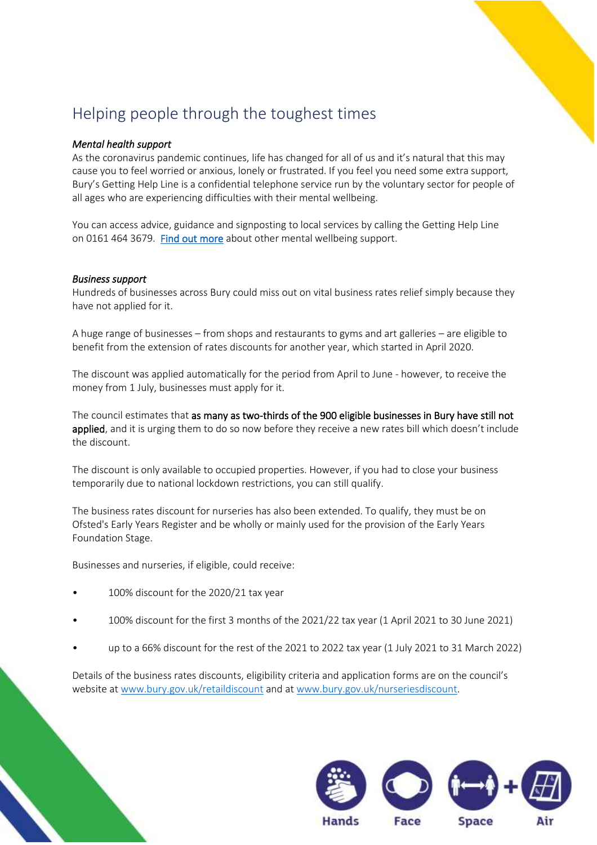### Helping people through the toughest times

### *Mental health support*

As the coronavirus pandemic continues, life has changed for all of us and it's natural that this may cause you to feel worried or anxious, lonely or frustrated. If you feel you need some extra support, Bury's Getting Help Line is a confidential telephone service run by the voluntary sector for people of all ages who are experiencing difficulties with their mental wellbeing.

You can access advice, guidance and signposting to local services by calling the Getting Help Line on 0161 464 3679. [Find out more](http://www.bury.gov.uk/mentalwellbeing) about other mental wellbeing support.

### *Business support*

Hundreds of businesses across Bury could miss out on vital business rates relief simply because they have not applied for it.

A huge range of businesses – from shops and restaurants to gyms and art galleries – are eligible to benefit from the extension of rates discounts for another year, which started in April 2020.

The discount was applied automatically for the period from April to June - however, to receive the money from 1 July, businesses must apply for it.

The council estimates that as many as two-thirds of the 900 eligible businesses in Bury have still not applied, and it is urging them to do so now before they receive a new rates bill which doesn't include the discount.

The discount is only available to occupied properties. However, if you had to close your business temporarily due to national lockdown restrictions, you can still qualify.

The business rates discount for nurseries has also been extended. To qualify, they must be on Ofsted's Early Years Register and be wholly or mainly used for the provision of the Early Years Foundation Stage.

Businesses and nurseries, if eligible, could receive:

- 100% discount for the 2020/21 tax year
- 100% discount for the first 3 months of the 2021/22 tax year (1 April 2021 to 30 June 2021)
- up to a 66% discount for the rest of the 2021 to 2022 tax year (1 July 2021 to 31 March 2022)

Details of the business rates discounts, eligibility criteria and application forms are on the council's website at [www.bury.gov.uk/retaildiscount](http://www.bury.gov.uk/retaildiscount) and a[t www.bury.gov.uk/nurseriesdiscount.](http://www.bury.gov.uk/nurseriesdiscount)